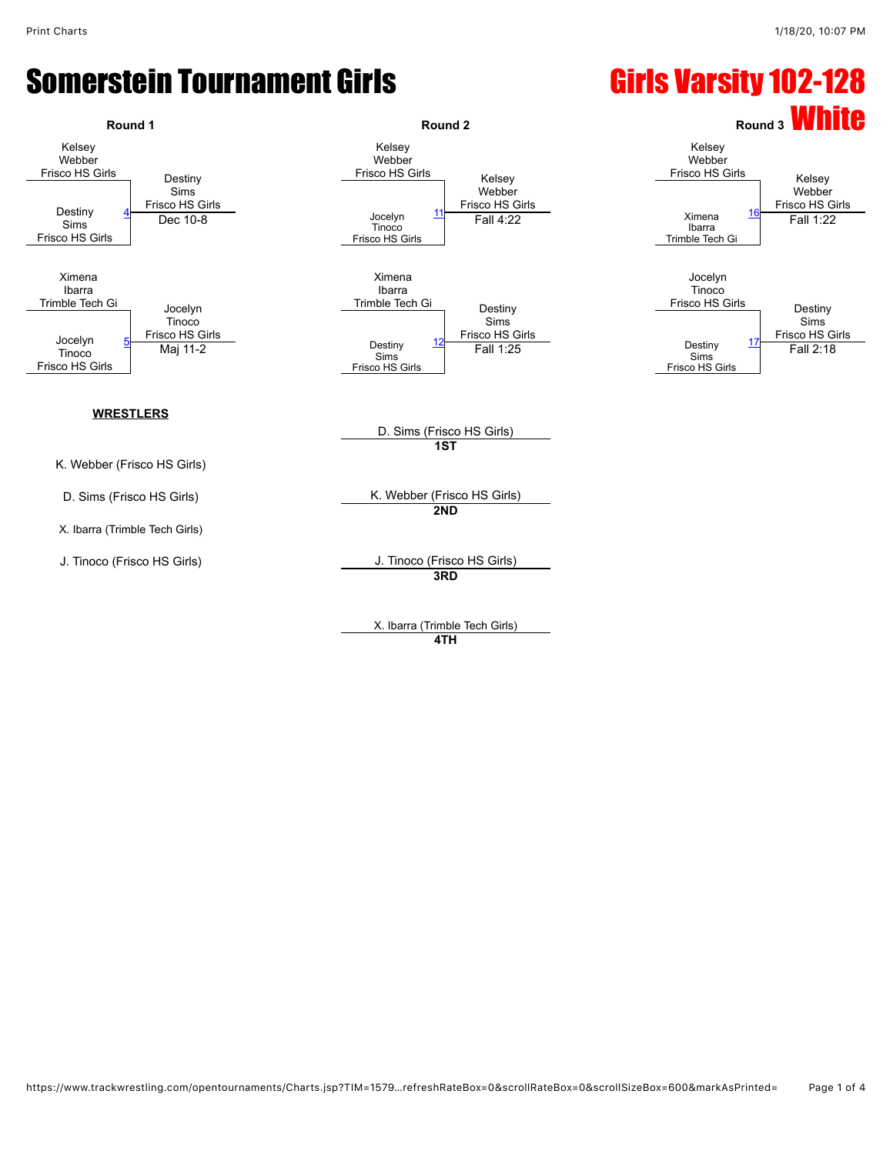### Somerstein Tournament Girls **Einestein Communist Communist Communist Communist Communist Communist Communist Communist Communist Communist Communist Communist Communist Communist Communist Communist Communist Communist Com**



X. Ibarra (Trimble Tech Girls) **4TH**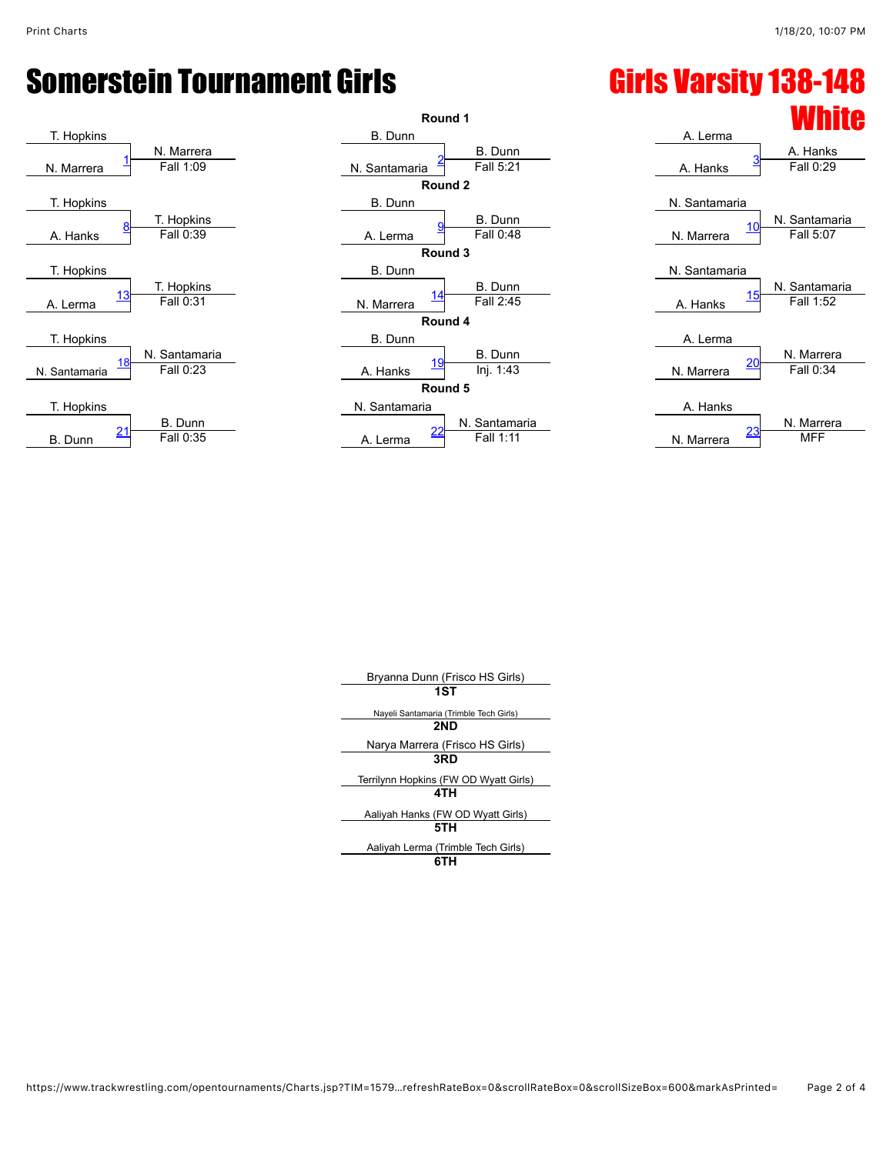# Somerstein Tournament Girls **Girls Girls Varsity 138-148**





### **White** A. Lerma A. Hanks N. Santamaria N. Santamaria N. Marrera N. Santamaria N. Santamaria A. Hanks A. Lerma N. Marrera A. Hanks N. Marrera

| Bryanna Dunn (Frisco HS Girls)         |
|----------------------------------------|
| 1ST                                    |
| Nayeli Santamaria (Trimble Tech Girls) |
| 2ND                                    |
| Narya Marrera (Frisco HS Girls)        |
| 3RD                                    |
| Terrilynn Hopkins (FW OD Wyatt Girls)  |
| 4TH                                    |
| Aaliyah Hanks (FW OD Wyatt Girls)      |
| 5TH                                    |
| Aaliyah Lerma (Trimble Tech Girls)     |
| ----                                   |

#### **6TH**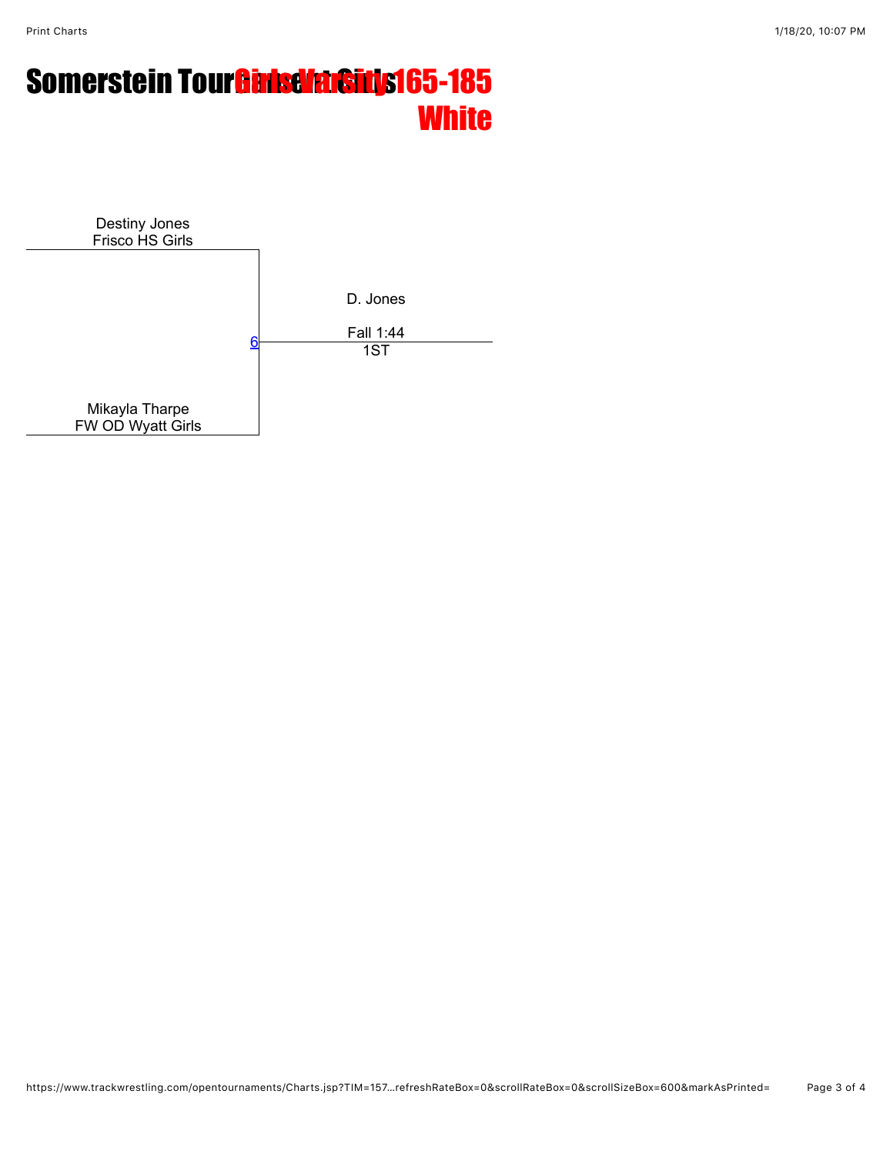# Somerstein Tour**Gansevarsity 165-185 White**